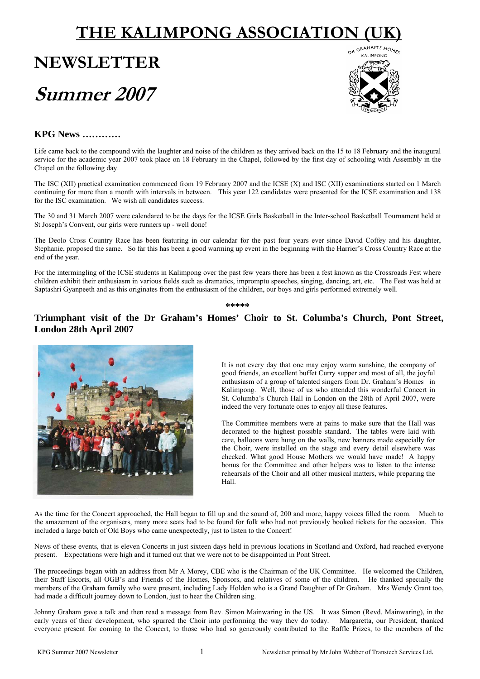# **THE KALIMPONG ASSOCIATION**

# **NEWSLETTER Summer 2007**



# **KPG News …………**

Life came back to the compound with the laughter and noise of the children as they arrived back on the 15 to 18 February and the inaugural service for the academic year 2007 took place on 18 February in the Chapel, followed by the first day of schooling with Assembly in the Chapel on the following day.

The ISC (XII) practical examination commenced from 19 February 2007 and the ICSE (X) and ISC (XII) examinations started on 1 March continuing for more than a month with intervals in between. This year 122 candidates were presented for the ICSE examination and 138 for the ISC examination. We wish all candidates success.

The 30 and 31 March 2007 were calendared to be the days for the ICSE Girls Basketball in the Inter-school Basketball Tournament held at St Joseph's Convent, our girls were runners up - well done!

The Deolo Cross Country Race has been featuring in our calendar for the past four years ever since David Coffey and his daughter, Stephanie, proposed the same. So far this has been a good warming up event in the beginning with the Harrier's Cross Country Race at the end of the year.

For the intermingling of the ICSE students in Kalimpong over the past few years there has been a fest known as the Crossroads Fest where children exhibit their enthusiasm in various fields such as dramatics, impromptu speeches, singing, dancing, art, etc. The Fest was held at Saptashri Gyanpeeth and as this originates from the enthusiasm of the children, our boys and girls performed extremely well.

**\*\*\*\*\*** 

# **Triumphant visit of the Dr Graham's Homes' Choir to St. Columba's Church, Pont Street, London 28th April 2007**



It is not every day that one may enjoy warm sunshine, the company of good friends, an excellent buffet Curry supper and most of all, the joyful enthusiasm of a group of talented singers from Dr. Graham's Homes in Kalimpong. Well, those of us who attended this wonderful Concert in St. Columba's Church Hall in London on the 28th of April 2007, were indeed the very fortunate ones to enjoy all these features.

The Committee members were at pains to make sure that the Hall was decorated to the highest possible standard. The tables were laid with care, balloons were hung on the walls, new banners made especially for the Choir, were installed on the stage and every detail elsewhere was checked. What good House Mothers we would have made! A happy bonus for the Committee and other helpers was to listen to the intense rehearsals of the Choir and all other musical matters, while preparing the Hall.

As the time for the Concert approached, the Hall began to fill up and the sound of, 200 and more, happy voices filled the room. Much to the amazement of the organisers, many more seats had to be found for folk who had not previously booked tickets for the occasion. This included a large batch of Old Boys who came unexpectedly, just to listen to the Concert!

News of these events, that is eleven Concerts in just sixteen days held in previous locations in Scotland and Oxford, had reached everyone present. Expectations were high and it turned out that we were not to be disappointed in Pont Street.

The proceedings began with an address from Mr A Morey, CBE who is the Chairman of the UK Committee. He welcomed the Children, their Staff Escorts, all OGB's and Friends of the Homes, Sponsors, and relatives of some of the children. He thanked specially the members of the Graham family who were present, including Lady Holden who is a Grand Daughter of Dr Graham. Mrs Wendy Grant too, had made a difficult journey down to London, just to hear the Children sing.

Johnny Graham gave a talk and then read a message from Rev. Simon Mainwaring in the US. It was Simon (Revd. Mainwaring), in the early years of their development, who spurred the Choir into performing the way they do today. Margaretta, our President, thanked everyone present for coming to the Concert, to those who had so generously contributed to the Raffle Prizes, to the members of the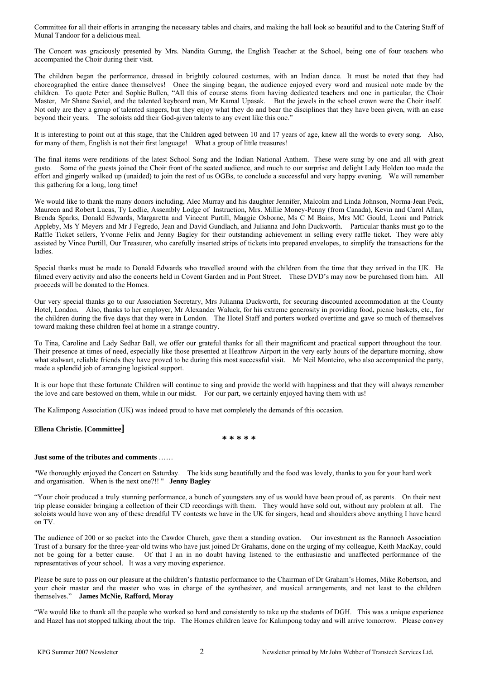Committee for all their efforts in arranging the necessary tables and chairs, and making the hall look so beautiful and to the Catering Staff of Munal Tandoor for a delicious meal.

The Concert was graciously presented by Mrs. Nandita Gurung, the English Teacher at the School, being one of four teachers who accompanied the Choir during their visit.

The children began the performance, dressed in brightly coloured costumes, with an Indian dance. It must be noted that they had choreographed the entire dance themselves! Once the singing began, the audience enjoyed every word and musical note made by the children. To quote Peter and Sophie Bullen, "All this of course stems from having dedicated teachers and one in particular, the Choir Master, Mr Shane Saviel, and the talented keyboard man, Mr Kamal Upasak. But the jewels in the school crown were the Choir itself. Not only are they a group of talented singers, but they enjoy what they do and bear the disciplines that they have been given, with an ease beyond their years. The soloists add their God-given talents to any event like this one."

It is interesting to point out at this stage, that the Children aged between 10 and 17 years of age, knew all the words to every song. Also, for many of them, English is not their first language! What a group of little treasures!

The final items were renditions of the latest School Song and the Indian National Anthem. These were sung by one and all with great gusto. Some of the guests joined the Choir front of the seated audience, and much to our surprise and delight Lady Holden too made the effort and gingerly walked up (unaided) to join the rest of us OGBs, to conclude a successful and very happy evening. We will remember this gathering for a long, long time!

We would like to thank the many donors including, Alec Murray and his daughter Jennifer, Malcolm and Linda Johnson, Norma-Jean Peck, Maureen and Robert Lucas, Ty Ledlie, Assembly Lodge of Instruction, Mrs. Millie Money-Penny (from Canada), Kevin and Carol Allan, Brenda Sparks, Donald Edwards, Margaretta and Vincent Purtill, Maggie Osborne, Ms C M Bains, Mrs MC Gould, Leoni and Patrick Appleby, Ms Y Meyers and Mr J Fegredo, Jean and David Gundlach, and Julianna and John Duckworth. Particular thanks must go to the Raffle Ticket sellers, Yvonne Felix and Jenny Bagley for their outstanding achievement in selling every raffle ticket. They were ably assisted by Vince Purtill, Our Treasurer, who carefully inserted strips of tickets into prepared envelopes, to simplify the transactions for the ladies.

Special thanks must be made to Donald Edwards who travelled around with the children from the time that they arrived in the UK. He filmed every activity and also the concerts held in Covent Garden and in Pont Street. These DVD's may now be purchased from him. All proceeds will be donated to the Homes.

Our very special thanks go to our Association Secretary, Mrs Julianna Duckworth, for securing discounted accommodation at the County Hotel, London. Also, thanks to her employer, Mr Alexander Waluck, for his extreme generosity in providing food, picnic baskets, etc., for the children during the five days that they were in London. The Hotel Staff and porters worked overtime and gave so much of themselves toward making these children feel at home in a strange country.

To Tina, Caroline and Lady Sedhar Ball, we offer our grateful thanks for all their magnificent and practical support throughout the tour. Their presence at times of need, especially like those presented at Heathrow Airport in the very early hours of the departure morning, show what stalwart, reliable friends they have proved to be during this most successful visit. Mr Neil Monteiro, who also accompanied the party, made a splendid job of arranging logistical support.

It is our hope that these fortunate Children will continue to sing and provide the world with happiness and that they will always remember the love and care bestowed on them, while in our midst. For our part, we certainly enjoyed having them with us!

The Kalimpong Association (UK) was indeed proud to have met completely the demands of this occasion.

#### **Ellena Christie. [Committee]**

**\* \* \* \* \*** 

#### **Just some of the tributes and comments** ……

"We thoroughly enjoyed the Concert on Saturday. The kids sung beautifully and the food was lovely, thanks to you for your hard work and organisation. When is the next one?!! " **Jenny Bagley**

"Your choir produced a truly stunning performance, a bunch of youngsters any of us would have been proud of, as parents. On their next trip please consider bringing a collection of their CD recordings with them. They would have sold out, without any problem at all. The soloists would have won any of these dreadful TV contests we have in the UK for singers, head and shoulders above anything I have heard on TV.

The audience of 200 or so packet into the Cawdor Church, gave them a standing ovation. Our investment as the Rannoch Association Trust of a bursary for the three-year-old twins who have just joined Dr Grahams, done on the urging of my colleague, Keith MacKay, could not be going for a better cause. Of that I an in no doubt having listened to the enthusiastic and unaffected performance of the representatives of your school. It was a very moving experience.

Please be sure to pass on our pleasure at the children's fantastic performance to the Chairman of Dr Graham's Homes, Mike Robertson, and your choir master and the master who was in charge of the synthesizer, and musical arrangements, and not least to the children themselves." **James McNie, Rafford, Moray** 

"We would like to thank all the people who worked so hard and consistently to take up the students of DGH. This was a unique experience and Hazel has not stopped talking about the trip. The Homes children leave for Kalimpong today and will arrive tomorrow. Please convey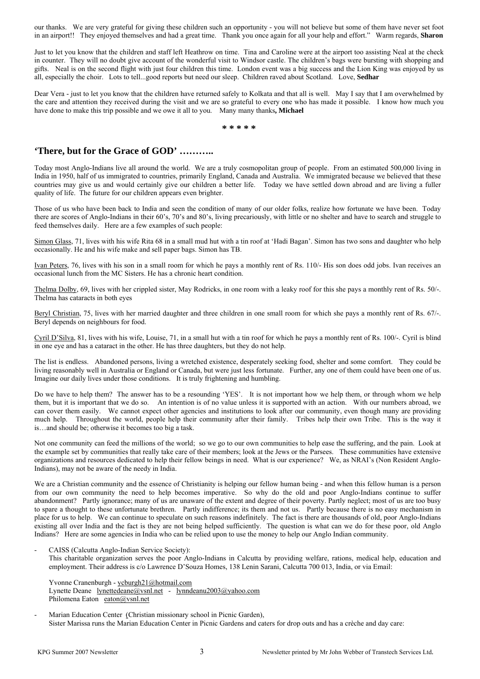our thanks. We are very grateful for giving these children such an opportunity - you will not believe but some of them have never set foot in an airport!! They enjoyed themselves and had a great time. Thank you once again for all your help and effort." Warm regards, **Sharon** 

Just to let you know that the children and staff left Heathrow on time. Tina and Caroline were at the airport too assisting Neal at the check in counter. They will no doubt give account of the wonderful visit to Windsor castle. The children's bags were bursting with shopping and gifts. Neal is on the second flight with just four children this time. London event was a big success and the Lion King was enjoyed by us all, especially the choir. Lots to tell...good reports but need our sleep. Children raved about Scotland. Love, **Sedhar**

Dear Vera - just to let you know that the children have returned safely to Kolkata and that all is well. May I say that I am overwhelmed by the care and attention they received during the visit and we are so grateful to every one who has made it possible. I know how much you have done to make this trip possible and we owe it all to you. Many many thanks**, Michael** 

**\* \* \* \* \*** 

## **'There, but for the Grace of GOD' ………..**

Today most Anglo-Indians live all around the world. We are a truly cosmopolitan group of people. From an estimated 500,000 living in India in 1950, half of us immigrated to countries, primarily England, Canada and Australia. We immigrated because we believed that these countries may give us and would certainly give our children a better life. Today we have settled down abroad and are living a fuller quality of life. The future for our children appears even brighter.

Those of us who have been back to India and seen the condition of many of our older folks, realize how fortunate we have been. Today there are scores of Anglo-Indians in their 60's, 70's and 80's, living precariously, with little or no shelter and have to search and struggle to feed themselves daily. Here are a few examples of such people:

Simon Glass, 71, lives with his wife Rita 68 in a small mud hut with a tin roof at 'Hadi Bagan'. Simon has two sons and daughter who help occasionally. He and his wife make and sell paper bags. Simon has TB.

Ivan Peters, 76, lives with his son in a small room for which he pays a monthly rent of Rs. 110/- His son does odd jobs. Ivan receives an occasional lunch from the MC Sisters. He has a chronic heart condition.

Thelma Dolby, 69, lives with her crippled sister, May Rodricks, in one room with a leaky roof for this she pays a monthly rent of Rs. 50/-. Thelma has cataracts in both eyes

Beryl Christian, 75, lives with her married daughter and three children in one small room for which she pays a monthly rent of Rs. 67/-. Beryl depends on neighbours for food.

Cyril D'Silva, 81, lives with his wife, Louise, 71, in a small hut with a tin roof for which he pays a monthly rent of Rs. 100/-. Cyril is blind in one eye and has a cataract in the other. He has three daughters, but they do not help.

The list is endless. Abandoned persons, living a wretched existence, desperately seeking food, shelter and some comfort. They could be living reasonably well in Australia or England or Canada, but were just less fortunate. Further, any one of them could have been one of us. Imagine our daily lives under those conditions. It is truly frightening and humbling.

Do we have to help them? The answer has to be a resounding 'YES'. It is not important how we help them, or through whom we help them, but it is important that we do so. An intention is of no value unless it is supported with an action. With our numbers abroad, we can cover them easily. We cannot expect other agencies and institutions to look after our community, even though many are providing much help. Throughout the world, people help their community after their family. Tribes help their own Tribe. This is the way it is…and should be; otherwise it becomes too big a task.

Not one community can feed the millions of the world; so we go to our own communities to help ease the suffering, and the pain. Look at the example set by communities that really take care of their members; look at the Jews or the Parsees. These communities have extensive organizations and resources dedicated to help their fellow beings in need. What is our experience? We, as NRAI's (Non Resident Anglo-Indians), may not be aware of the needy in India.

We are a Christian community and the essence of Christianity is helping our fellow human being - and when this fellow human is a person from our own community the need to help becomes imperative. So why do the old and poor Anglo-Indians continue to suffer abandonment? Partly ignorance; many of us are unaware of the extent and degree of their poverty. Partly neglect; most of us are too busy to spare a thought to these unfortunate brethren. Partly indifference; its them and not us. Partly because there is no easy mechanism in place for us to help. We can continue to speculate on such reasons indefinitely. The fact is there are thousands of old, poor Anglo-Indians existing all over India and the fact is they are not being helped sufficiently. The question is what can we do for these poor, old Anglo Indians? Here are some agencies in India who can be relied upon to use the money to help our Anglo Indian community.

# - CAISS (Calcutta Anglo-Indian Service Society):

This charitable organization serves the poor Anglo-Indians in Calcutta by providing welfare, rations, medical help, education and employment. Their address is c/o Lawrence D'Souza Homes, 138 Lenin Sarani, Calcutta 700 013, India, or via Email:

Yvonne Cranenburgh - ycburgh21@hotmail.com Lynette Deane lynettedeane@vsnl.net - lynndeanu2003@yahoo.com Philomena Eaton eaton@vsnl.net

Marian Education Center (Christian missionary school in Picnic Garden), Sister Marissa runs the Marian Education Center in Picnic Gardens and caters for drop outs and has a crèche and day care: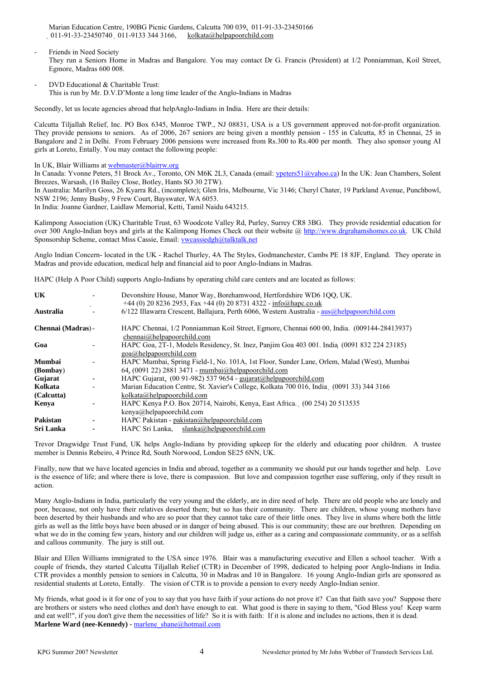Marian Education Centre, 190BG Picnic Gardens, Calcutta 700 039, 011-91-33-23450166 011-91-33-23450740 011-9133 344 3166, kolkata@helpapoorchild.com

- Friends in Need Society They run a Seniors Home in Madras and Bangalore. You may contact Dr G. Francis (President) at 1/2 Ponniamman, Koil Street, Egmore, Madras 600 008.
- DVD Educational & Charitable Trust: This is run by Mr. D.V.D'Monte a long time leader of the Anglo-Indians in Madras

Secondly, let us locate agencies abroad that helpAnglo-Indians in India. Here are their details:

Calcutta Tiljallah Relief, Inc. PO Box 6345, Monroe TWP., NJ 08831, USA is a US government approved not-for-profit organization. They provide pensions to seniors. As of 2006, 267 seniors are being given a monthly pension - 155 in Calcutta, 85 in Chennai, 25 in Bangalore and 2 in Delhi. From February 2006 pensions were increased from Rs.300 to Rs.400 per month. They also sponsor young AI girls at Loreto, Entally. You may contact the following people:

In UK, Blair Williams at webmaster@blairrw.org

In Canada: Yvonne Peters, 51 Brock Av., Toronto, ON M6K 2L3, Canada (email: [ypeters51@yahoo.ca\)](mailto:ypeters51@yahoo.ca) In the UK: Jean Chambers, Solent Breezes, Warsash, (16 Bailey Close, Botley, Hants SO 30 2TW).

In Australia: Marilyn Goss, 26 Kyarra Rd., (incomplete); Glen Iris, Melbourne, Vic 3146; Cheryl Chater, 19 Parkland Avenue, Punchbowl, NSW 2196; Jenny Busby, 9 Frew Court, Bayswater, WA 6053.

In India: Joanne Gardner, Laidlaw Memorial, Ketti, Tamil Naidu 643215.

Kalimpong Association (UK) Charitable Trust, 63 Woodcote Valley Rd, Purley, Surrey CR8 3BG. They provide residential education for over 300 Anglo-Indian boys and girls at the Kalimpong Homes Check out their website @ http://www.drgrahamshomes.co.uk. UK Child Sponsorship Scheme, contact Miss Cassie, Email: **vwcassiedgh@talktalk.net** 

Anglo Indian Concern- located in the UK - Rachel Thurley, 4A The Styles, Godmanchester, Cambs PE 18 8JF, England. They operate in Madras and provide education, medical help and financial aid to poor Anglo-Indians in Madras.

HAPC (Help A Poor Child) supports Anglo-Indians by operating child care centers and are located as follows:

| <b>UK</b>          | Devonshire House, Manor Way, Borehamwood, Hertfordshire WD6 100, UK.<br>$+44$ (0) 20 8236 2953, Fax $+44$ (0) 20 8731 4322 - info@hapc.co.uk |
|--------------------|----------------------------------------------------------------------------------------------------------------------------------------------|
| Australia          | $6/122$ Illawarra Crescent, Ballajura, Perth 6066, Western Australia - aus@helpapoorchild.com                                                |
| Chennai (Madras) - | HAPC Chennai, 1/2 Ponniamman Koil Street, Egmore, Chennai 600 00, India. (009144-28413937)<br>chennai@helpapoorchild.com                     |
| Goa                | HAPC Goa, 2T-1, Models Residency, St. Inez, Panjim Goa 403 001. India (0091 832 224 23185)<br>$\text{goa}(a)$ helpapoorchild.com             |
| <b>Mumbai</b>      | HAPC Mumbai, Spring Field-1, No. 101A, 1st Floor, Sunder Lane, Orlem, Malad (West), Mumbai                                                   |
| (Bombay)           | 64, $(0091 22) 2881 3471$ - mumbai $@$ helpapoorchild.com                                                                                    |
| Gujarat            | HAPC Gujarat, $(0091-982)$ 537 9654 - gujarat@helpapoorchild.com                                                                             |
| Kolkata            | Marian Education Centre, St. Xavier's College, Kolkata 700 016, India (0091 33) 344 3166                                                     |
| (Calcutta)         | kolkata@helpapoorchild.com                                                                                                                   |
| Kenya              | HAPC Kenya P.O. Box 20714, Nairobi, Kenya, East Africa. (00 254) 20 513535                                                                   |
|                    | $\text{kenya}(a)$ helpapoorchild.com                                                                                                         |
| Pakistan           | HAPC Pakistan - pakistan@helpapoorchild.com                                                                                                  |
| Sri Lanka          | HAPC Sri Lanka, slanka@helpapoorchild.com                                                                                                    |

Trevor Dragwidge Trust Fund, UK helps Anglo-Indians by providing upkeep for the elderly and educating poor children. A trustee member is Dennis Rebeiro, 4 Prince Rd, South Norwood, London SE25 6NN, UK.

Finally, now that we have located agencies in India and abroad, together as a community we should put our hands together and help. Love is the essence of life; and where there is love, there is compassion. But love and compassion together ease suffering, only if they result in action.

Many Anglo-Indians in India, particularly the very young and the elderly, are in dire need of help. There are old people who are lonely and poor, because, not only have their relatives deserted them; but so has their community. There are children, whose young mothers have been deserted by their husbands and who are so poor that they cannot take care of their little ones. They live in slums where both the little girls as well as the little boys have been abused or in danger of being abused. This is our community; these are our brethren. Depending on what we do in the coming few years, history and our children will judge us, either as a caring and compassionate community, or as a selfish and callous community. The jury is still out.

Blair and Ellen Williams immigrated to the USA since 1976. Blair was a manufacturing executive and Ellen a school teacher. With a couple of friends, they started Calcutta Tiljallah Relief (CTR) in December of 1998, dedicated to helping poor Anglo-Indians in India. CTR provides a monthly pension to seniors in Calcutta, 30 in Madras and 10 in Bangalore. 16 young Anglo-Indian girls are sponsored as residential students at Loreto, Entally. The vision of CTR is to provide a pension to every needy Anglo-Indian senior.

My friends, what good is it for one of you to say that you have faith if your actions do not prove it? Can that faith save you? Suppose there are brothers or sisters who need clothes and don't have enough to eat. What good is there in saying to them, "God Bless you! Keep warm and eat well!", if you don't give them the necessities of life? So it is with faith: If it is alone and includes no actions, then it is dead. **Marlene Ward (nee-Kennedy) - [marlene\\_shane@hotmail.com](mailto:marlene_shane@hotmail.com)**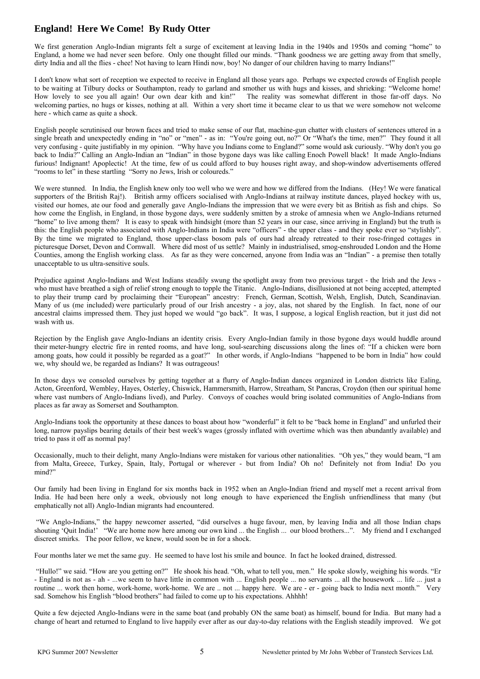# **England! Here We Come! By Rudy Otter**

We first generation Anglo-Indian migrants felt a surge of excitement at leaving India in the 1940s and 1950s and coming "home" to England, a home we had never seen before. Only one thought filled our minds. "Thank goodness we are getting away from that smelly, dirty India and all the flies - chee! Not having to learn Hindi now, boy! No danger of our children having to marry Indians!"

I don't know what sort of reception we expected to receive in England all those years ago. Perhaps we expected crowds of English people to be waiting at Tilbury docks or Southampton, ready to garland and smother us with hugs and kisses, and shrieking: "Welcome home! How lovely to see you all again! Our own dear kith and kin!" The reality was somewhat different in those far-off days. No welcoming parties, no hugs or kisses, nothing at all. Within a very short time it became clear to us that we were somehow not welcome here - which came as quite a shock.

English people scrutinised our brown faces and tried to make sense of our flat, machine-gun chatter with clusters of sentences uttered in a single breath and unexpectedly ending in "no" or "men" - as in: "You're going out, no?" Or "What's the time, men?" They found it all very confusing - quite justifiably in my opinion. "Why have you Indians come to England?" some would ask curiously. "Why don't you go back to India?" Calling an Anglo-Indian an "Indian" in those bygone days was like calling Enoch Powell black! It made Anglo-Indians furious! Indignant! Apoplectic! At the time, few of us could afford to buy houses right away, and shop-window advertisements offered "rooms to let" in these startling "Sorry no Jews, Irish or coloureds."

We were stunned. In India, the English knew only too well who we were and how we differed from the Indians. (Hey! We were fanatical supporters of the British Raj!). British army officers socialised with Anglo-Indians at railway institute dances, played hockey with us, visited our homes, ate our food and generally gave Anglo-Indians the impression that we were every bit as British as fish and chips. So how come the English, in England, in those bygone days, were suddenly smitten by a stroke of amnesia when we Anglo-Indians returned "home" to live among them? It is easy to speak with hindsight (more than 52 years in our case, since arriving in England) but the truth is this: the English people who associated with Anglo-Indians in India were "officers" - the upper class - and they spoke ever so "stylishly". By the time we migrated to England, those upper-class bosom pals of ours had already retreated to their rose-fringed cottages in picturesque Dorset, Devon and Cornwall. Where did most of us settle? Mainly in industrialised, smog-enshrouded London and the Home Counties, among the English working class. As far as they were concerned, anyone from India was an "Indian" - a premise then totally unacceptable to us ultra-sensitive souls.

Prejudice against Anglo-Indians and West Indians steadily swung the spotlight away from two previous target - the Irish and the Jews who must have breathed a sigh of relief strong enough to topple the Titanic. Anglo-Indians, disillusioned at not being accepted, attempted to play their trump card by proclaiming their "European" ancestry: French, German, Scottish, Welsh, English, Dutch, Scandinavian. Many of us (me included) were particularly proud of our Irish ancestry - a joy, alas, not shared by the English. In fact, none of our ancestral claims impressed them. They just hoped we would "go back". It was, I suppose, a logical English reaction, but it just did not wash with us.

Rejection by the English gave Anglo-Indians an identity crisis. Every Anglo-Indian family in those bygone days would huddle around their meter-hungry electric fire in rented rooms, and have long, soul-searching discussions along the lines of: "If a chicken were born among goats, how could it possibly be regarded as a goat?" In other words, if Anglo-Indians "happened to be born in India" how could we, why should we, be regarded as Indians? It was outrageous!

In those days we consoled ourselves by getting together at a flurry of Anglo-Indian dances organized in London districts like Ealing, Acton, Greenford, Wembley, Hayes, Osterley, Chiswick, Hammersmith, Harrow, Streatham, St Pancras, Croydon (then our spiritual home where vast numbers of Anglo-Indians lived), and Purley. Convoys of coaches would bring isolated communities of Anglo-Indians from places as far away as Somerset and Southampton.

Anglo-Indians took the opportunity at these dances to boast about how "wonderful" it felt to be "back home in England" and unfurled their long, narrow payslips bearing details of their best week's wages (grossly inflated with overtime which was then abundantly available) and tried to pass it off as normal pay!

Occasionally, much to their delight, many Anglo-Indians were mistaken for various other nationalities. "Oh yes," they would beam, "I am from Malta, Greece, Turkey, Spain, Italy, Portugal or wherever - but from India? Oh no! Definitely not from India! Do you mind?"

Our family had been living in England for six months back in 1952 when an Anglo-Indian friend and myself met a recent arrival from India. He had been here only a week, obviously not long enough to have experienced the English unfriendliness that many (but emphatically not all) Anglo-Indian migrants had encountered.

"We Anglo-Indians," the happy newcomer asserted, "did ourselves a huge favour, men, by leaving India and all those Indian chaps shouting 'Quit India!' "We are home now here among our own kind ... the English ... our blood brothers...". My friend and I exchanged discreet smirks. The poor fellow, we knew, would soon be in for a shock.

Four months later we met the same guy. He seemed to have lost his smile and bounce. In fact he looked drained, distressed.

"Hullo!" we said. "How are you getting on?" He shook his head. "Oh, what to tell you, men." He spoke slowly, weighing his words. "Er - England is not as - ah - ...we seem to have little in common with ... English people ... no servants ... all the housework ... life ... just a routine ... work then home, work-home, work-home. We are ... not ... happy here. We are - er - going back to India next month." sad. Somehow his English "blood brothers" had failed to come up to his expectations. Ahhhh!

Quite a few dejected Anglo-Indians were in the same boat (and probably ON the same boat) as himself, bound for India. But many had a change of heart and returned to England to live happily ever after as our day-to-day relations with the English steadily improved. We got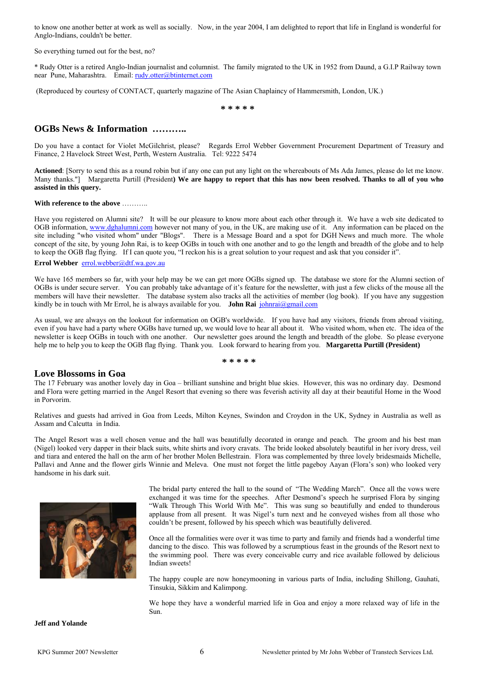to know one another better at work as well as socially. Now, in the year 2004, I am delighted to report that life in England is wonderful for Anglo-Indians, couldn't be better.

So everything turned out for the best, no?

\* Rudy Otter is a retired Anglo-Indian journalist and columnist. The family migrated to the UK in 1952 from Daund, a G.I.P Railway town near Pune, Maharashtra. Email: [rudy.otter@btinternet.com](mailto:rudy.otter@btinternet.com)

(Reproduced by courtesy of CONTACT, quarterly magazine of The Asian Chaplaincy of Hammersmith, London, UK.)

**\* \* \* \* \***

#### **OGBs News & Information ………..**

Do you have a contact for Violet McGilchrist, please? Regards Errol Webber Government Procurement Department of Treasury and Finance, 2 Havelock Street West, Perth, Western Australia. Tel: 9222 5474

**Actioned**: [Sorry to send this as a round robin but if any one can put any light on the whereabouts of Ms Ada James, please do let me know. Many thanks."] Margaretta Purtill (President**) We are happy to report that this has now been resolved. Thanks to all of you who assisted in this query.**

#### **With reference to the above** ………..

Have you registered on Alumni site? It will be our pleasure to know more about each other through it. We have a web site dedicated to OGB information, [www.dghalumni.com](http://www.dghalumni.com/) however not many of you, in the UK, are making use of it. Any information can be placed on the site including "who visited whom" under "Blogs". There is a Message Board and a spot for DGH News and much more. The whole concept of the site, by young John Rai, is to keep OGBs in touch with one another and to go the length and breadth of the globe and to help to keep the OGB flag flying. If I can quote you, "I reckon his is a great solution to your request and ask that you consider it".

#### **Errol Webber** [errol.webber@dtf.wa.gov.au](mailto:errol.webber@dtf.wa.gov.au)

We have 165 members so far, with your help may be we can get more OGBs signed up. The database we store for the Alumni section of OGBs is under secure server. You can probably take advantage of it's feature for the newsletter, with just a few clicks of the mouse all the members will have their newsletter. The database system also tracks all the activities of member (log book). If you have any suggestion kindly be in touch with Mr Errol, he is always available for you. **John Rai**  $\frac{\delta n}{\delta n}$ 

As usual, we are always on the lookout for information on OGB's worldwide. If you have had any visitors, friends from abroad visiting, even if you have had a party where OGBs have turned up, we would love to hear all about it. Who visited whom, when etc. The idea of the newsletter is keep OGBs in touch with one another. Our newsletter goes around the length and breadth of the globe. So please everyone help me to help you to keep the OGB flag flying. Thank you. Look forward to hearing from you. **Margaretta Purtill (President)**

#### **\* \* \* \* \***

#### **Love Blossoms in Goa**

The 17 February was another lovely day in Goa – brilliant sunshine and bright blue skies. However, this was no ordinary day. Desmond and Flora were getting married in the Angel Resort that evening so there was feverish activity all day at their beautiful Home in the Wood in Porvorim.

Relatives and guests had arrived in Goa from Leeds, Milton Keynes, Swindon and Croydon in the UK, Sydney in Australia as well as Assam and Calcutta in India.

The Angel Resort was a well chosen venue and the hall was beautifully decorated in orange and peach. The groom and his best man (Nigel) looked very dapper in their black suits, white shirts and ivory cravats. The bride looked absolutely beautiful in her ivory dress, veil and tiara and entered the hall on the arm of her brother Molen Bellestrain. Flora was complemented by three lovely bridesmaids Michelle, Pallavi and Anne and the flower girls Winnie and Meleva. One must not forget the little pageboy Aayan (Flora's son) who looked very handsome in his dark suit.



The bridal party entered the hall to the sound of "The Wedding March". Once all the vows were exchanged it was time for the speeches. After Desmond's speech he surprised Flora by singing "Walk Through This World With Me". This was sung so beautifully and ended to thunderous applause from all present. It was Nigel's turn next and he conveyed wishes from all those who couldn't be present, followed by his speech which was beautifully delivered.

Once all the formalities were over it was time to party and family and friends had a wonderful time dancing to the disco. This was followed by a scrumptious feast in the grounds of the Resort next to the swimming pool. There was every conceivable curry and rice available followed by delicious Indian sweets!

The happy couple are now honeymooning in various parts of India, including Shillong, Gauhati, Tinsukia, Sikkim and Kalimpong.

We hope they have a wonderful married life in Goa and enjoy a more relaxed way of life in the Sun.

**Jeff and Yolande**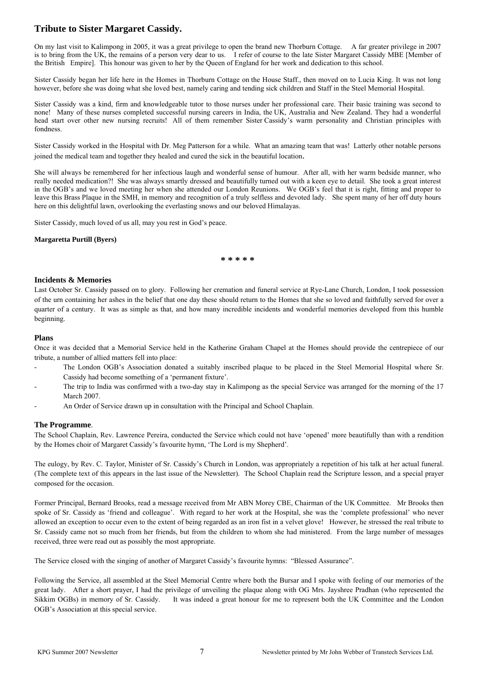# **Tribute to Sister Margaret Cassidy.**

On my last visit to Kalimpong in 2005, it was a great privilege to open the brand new Thorburn Cottage. A far greater privilege in 2007 is to bring from the UK, the remains of a person very dear to us. I refer of course to the late Sister Margaret Cassidy MBE [Member of the British Empire]. This honour was given to her by the Queen of England for her work and dedication to this school.

Sister Cassidy began her life here in the Homes in Thorburn Cottage on the House Staff., then moved on to Lucia King. It was not long however, before she was doing what she loved best, namely caring and tending sick children and Staff in the Steel Memorial Hospital.

Sister Cassidy was a kind, firm and knowledgeable tutor to those nurses under her professional care. Their basic training was second to none! Many of these nurses completed successful nursing careers in India, the UK, Australia and New Zealand. They had a wonderful head start over other new nursing recruits! All of them remember Sister Cassidy's warm personality and Christian principles with fondness.

Sister Cassidy worked in the Hospital with Dr. Meg Patterson for a while. What an amazing team that was! Latterly other notable persons joined the medical team and together they healed and cured the sick in the beautiful location.

She will always be remembered for her infectious laugh and wonderful sense of humour. After all, with her warm bedside manner, who really needed medication?! She was always smartly dressed and beautifully turned out with a keen eye to detail. She took a great interest in the OGB's and we loved meeting her when she attended our London Reunions. We OGB's feel that it is right, fitting and proper to leave this Brass Plaque in the SMH, in memory and recognition of a truly selfless and devoted lady. She spent many of her off duty hours here on this delightful lawn, overlooking the everlasting snows and our beloved Himalayas.

Sister Cassidy, much loved of us all, may you rest in God's peace.

**Margaretta Purtill (Byers)** 

**\* \* \* \* \*** 

#### **Incidents & Memories**

Last October Sr. Cassidy passed on to glory. Following her cremation and funeral service at Rye-Lane Church, London, I took possession of the urn containing her ashes in the belief that one day these should return to the Homes that she so loved and faithfully served for over a quarter of a century. It was as simple as that, and how many incredible incidents and wonderful memories developed from this humble beginning.

#### **Plans**

Once it was decided that a Memorial Service held in the Katherine Graham Chapel at the Homes should provide the centrepiece of our tribute, a number of allied matters fell into place:

- The London OGB's Association donated a suitably inscribed plaque to be placed in the Steel Memorial Hospital where Sr. Cassidy had become something of a 'permanent fixture'.
- The trip to India was confirmed with a two-day stay in Kalimpong as the special Service was arranged for the morning of the 17 March 2007.
- An Order of Service drawn up in consultation with the Principal and School Chaplain.

#### **The Programme**.

The School Chaplain, Rev. Lawrence Pereira, conducted the Service which could not have 'opened' more beautifully than with a rendition by the Homes choir of Margaret Cassidy's favourite hymn, 'The Lord is my Shepherd'.

The eulogy, by Rev. C. Taylor, Minister of Sr. Cassidy's Church in London, was appropriately a repetition of his talk at her actual funeral. (The complete text of this appears in the last issue of the Newsletter). The School Chaplain read the Scripture lesson, and a special prayer composed for the occasion.

Former Principal, Bernard Brooks, read a message received from Mr ABN Morey CBE, Chairman of the UK Committee. Mr Brooks then spoke of Sr. Cassidy as 'friend and colleague'. With regard to her work at the Hospital, she was the 'complete professional' who never allowed an exception to occur even to the extent of being regarded as an iron fist in a velvet glove! However, he stressed the real tribute to Sr. Cassidy came not so much from her friends, but from the children to whom she had ministered. From the large number of messages received, three were read out as possibly the most appropriate.

The Service closed with the singing of another of Margaret Cassidy's favourite hymns: "Blessed Assurance".

Following the Service, all assembled at the Steel Memorial Centre where both the Bursar and I spoke with feeling of our memories of the great lady. After a short prayer, I had the privilege of unveiling the plaque along with OG Mrs. Jayshree Pradhan (who represented the Sikkim OGBs) in memory of Sr. Cassidy. It was indeed a great honour for me to represent both the UK Committee and the London OGB's Association at this special service.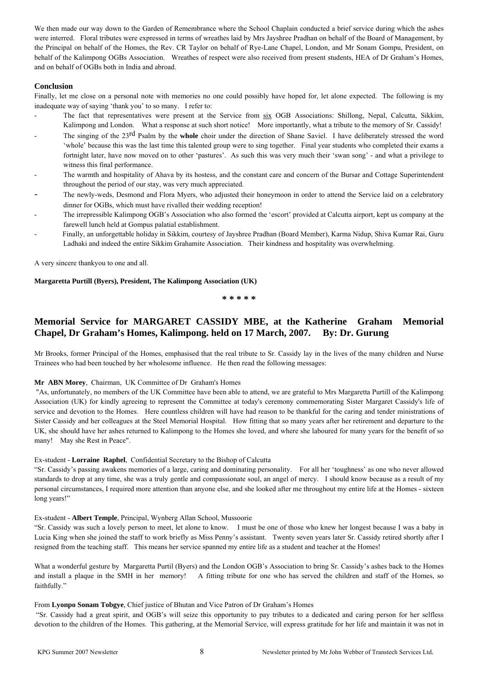We then made our way down to the Garden of Remembrance where the School Chaplain conducted a brief service during which the ashes were interred. Floral tributes were expressed in terms of wreathes laid by Mrs Jayshree Pradhan on behalf of the Board of Management, by the Principal on behalf of the Homes, the Rev. CR Taylor on behalf of Rye-Lane Chapel, London, and Mr Sonam Gompu, President, on behalf of the Kalimpong OGBs Association. Wreathes of respect were also received from present students, HEA of Dr Graham's Homes, and on behalf of OGBs both in India and abroad.

#### **Conclusion**

Finally, let me close on a personal note with memories no one could possibly have hoped for, let alone expected. The following is my inadequate way of saying 'thank you' to so many. I refer to:

- The fact that representatives were present at the Service from six OGB Associations: Shillong, Nepal, Calcutta, Sikkim, Kalimpong and London. What a response at such short notice! More importantly, what a tribute to the memory of Sr. Cassidy!
- The singing of the 23<sup>rd</sup> Psalm by the **whole** choir under the direction of Shane Saviel. I have deliberately stressed the word 'whole' because this was the last time this talented group were to sing together. Final year students who completed their exams a fortnight later, have now moved on to other 'pastures'. As such this was very much their 'swan song' - and what a privilege to witness this final performance.
- The warmth and hospitality of Ahava by its hostess, and the constant care and concern of the Bursar and Cottage Superintendent throughout the period of our stay, was very much appreciated.
- The newly-weds, Desmond and Flora Myers, who adjusted their honeymoon in order to attend the Service laid on a celebratory dinner for OGBs, which must have rivalled their wedding reception!
- The irrepressible Kalimpong OGB's Association who also formed the 'escort' provided at Calcutta airport, kept us company at the farewell lunch held at Gompus palatial establishment.
- Finally, an unforgettable holiday in Sikkim, courtesy of Jayshree Pradhan (Board Member), Karma Nidup, Shiva Kumar Rai, Guru Ladhaki and indeed the entire Sikkim Grahamite Association. Their kindness and hospitality was overwhelming.

A very sincere thankyou to one and all.

#### **Margaretta Purtill (Byers), President, The Kalimpong Association (UK)**

**\* \* \* \* \*** 

# **Memorial Service for MARGARET CASSIDY MBE, at the Katherine Graham Memorial Chapel, Dr Graham's Homes, Kalimpong. held on 17 March, 2007. By: Dr. Gurung**

Mr Brooks, former Principal of the Homes, emphasised that the real tribute to Sr. Cassidy lay in the lives of the many children and Nurse Trainees who had been touched by her wholesome influence. He then read the following messages:

#### **Mr ABN Morey**, Chairman, UK Committee of Dr Graham's Homes

"As, unfortunately, no members of the UK Committee have been able to attend, we are grateful to Mrs Margaretta Purtill of the Kalimpong Association (UK) for kindly agreeing to represent the Committee at today's ceremony commemorating Sister Margaret Cassidy's life of service and devotion to the Homes. Here countless children will have had reason to be thankful for the caring and tender ministrations of Sister Cassidy and her colleagues at the Steel Memorial Hospital. How fitting that so many years after her retirement and departure to the UK, she should have her ashes returned to Kalimpong to the Homes she loved, and where she laboured for many years for the benefit of so many! May she Rest in Peace".

#### Ex-student - **Lorraine Raphel**, Confidential Secretary to the Bishop of Calcutta

"Sr. Cassidy's passing awakens memories of a large, caring and dominating personality. For all her 'toughness' as one who never allowed standards to drop at any time, she was a truly gentle and compassionate soul, an angel of mercy. I should know because as a result of my personal circumstances, I required more attention than anyone else, and she looked after me throughout my entire life at the Homes - sixteen long years!"

#### Ex-student - **Albert Temple**, Principal, Wynberg Allan School, Mussoorie

"Sr. Cassidy was such a lovely person to meet, let alone to know. I must be one of those who knew her longest because I was a baby in Lucia King when she joined the staff to work briefly as Miss Penny's assistant. Twenty seven years later Sr. Cassidy retired shortly after I resigned from the teaching staff. This means her service spanned my entire life as a student and teacher at the Homes!

What a wonderful gesture by Margaretta Purtil (Byers) and the London OGB's Association to bring Sr. Cassidy's ashes back to the Homes and install a plaque in the SMH in her memory! A fitting tribute for one who has served the children and staff of the Homes, so faithfully."

#### From **Lyonpo Sonam Tobgye**, Chief justice of Bhutan and Vice Patron of Dr Graham's Homes

"Sr. Cassidy had a great spirit, and OGB's will seize this opportunity to pay tributes to a dedicated and caring person for her selfless devotion to the children of the Homes. This gathering, at the Memorial Service, will express gratitude for her life and maintain it was not in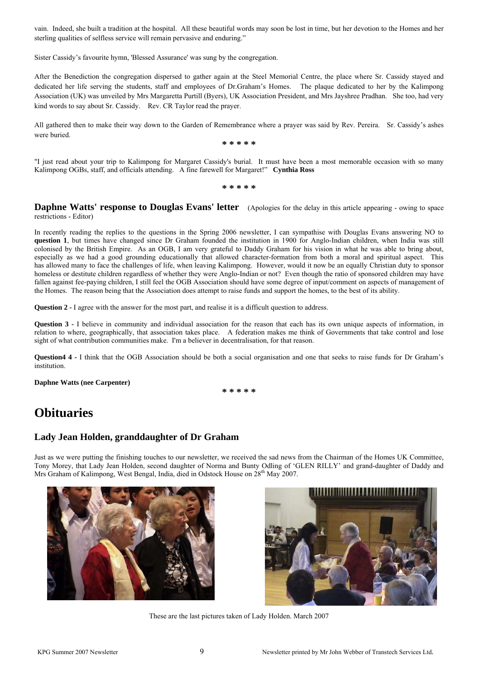vain. Indeed, she built a tradition at the hospital. All these beautiful words may soon be lost in time, but her devotion to the Homes and her sterling qualities of selfless service will remain pervasive and enduring."

Sister Cassidy's favourite hymn, 'Blessed Assurance' was sung by the congregation.

After the Benediction the congregation dispersed to gather again at the Steel Memorial Centre, the place where Sr. Cassidy stayed and dedicated her life serving the students, staff and employees of Dr.Graham's Homes. The plaque dedicated to her by the Kalimpong Association (UK) was unveiled by Mrs Margaretta Purtill (Byers), UK Association President, and Mrs Jayshree Pradhan. She too, had very kind words to say about Sr. Cassidy. Rev. CR Taylor read the prayer.

All gathered then to make their way down to the Garden of Remembrance where a prayer was said by Rev. Pereira. Sr. Cassidy's ashes were buried.

**\* \* \* \* \*** 

"I just read about your trip to Kalimpong for Margaret Cassidy's burial. It must have been a most memorable occasion with so many Kalimpong OGBs, staff, and officials attending. A fine farewell for Margaret!" **Cynthia Ross** 

**\* \* \* \* \*** 

**Daphne Watts' response to Douglas Evans' letter** (Apologies for the delay in this article appearing - owing to space restrictions - Editor)

In recently reading the replies to the questions in the Spring 2006 newsletter, I can sympathise with Douglas Evans answering NO to **question 1**, but times have changed since Dr Graham founded the institution in 1900 for Anglo-Indian children, when India was still colonised by the British Empire. As an OGB, I am very grateful to Daddy Graham for his vision in what he was able to bring about, especially as we had a good grounding educationally that allowed character-formation from both a moral and spiritual aspect. This has allowed many to face the challenges of life, when leaving Kalimpong. However, would it now be an equally Christian duty to sponsor homeless or destitute children regardless of whether they were Anglo-Indian or not? Even though the ratio of sponsored children may have fallen against fee-paying children, I still feel the OGB Association should have some degree of input/comment on aspects of management of the Homes. The reason being that the Association does attempt to raise funds and support the homes, to the best of its ability.

**Question 2 - I** agree with the answer for the most part, and realise it is a difficult question to address.

**Question 3 -** I believe in community and individual association for the reason that each has its own unique aspects of information, in relation to where, geographically, that association takes place. A federation makes me think of Governments that take control and lose sight of what contribution communities make. I'm a believer in decentralisation, for that reason.

**Question4 4 -** I think that the OGB Association should be both a social organisation and one that seeks to raise funds for Dr Graham's institution.

**Daphne Watts (nee Carpenter)**

**\* \* \* \* \*** 

# **Obituaries**

# **Lady Jean Holden, granddaughter of Dr Graham**

Just as we were putting the finishing touches to our newsletter, we received the sad news from the Chairman of the Homes UK Committee, Tony Morey, that Lady Jean Holden, second daughter of Norma and Bunty Odling of 'GLEN RILLY' and grand-daughter of Daddy and Mrs Graham of Kalimpong, West Bengal, India, died in Odstock House on 28<sup>th</sup> May 2007.





These are the last pictures taken of Lady Holden. March 2007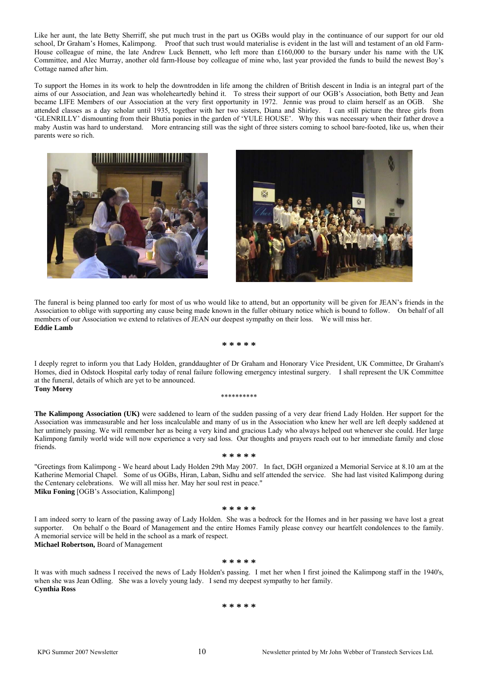Like her aunt, the late Betty Sherriff, she put much trust in the part us OGBs would play in the continuance of our support for our old school, Dr Graham's Homes, Kalimpong. Proof that such trust would materialise is evident in the last will and testament of an old Farm-House colleague of mine, the late Andrew Luck Bennett, who left more than £160,000 to the bursary under his name with the UK Committee, and Alec Murray, another old farm-House boy colleague of mine who, last year provided the funds to build the newest Boy's Cottage named after him.

To support the Homes in its work to help the downtrodden in life among the children of British descent in India is an integral part of the aims of our Association, and Jean was wholeheartedly behind it. To stress their support of our OGB's Association, both Betty and Jean became LIFE Members of our Association at the very first opportunity in 1972. Jennie was proud to claim herself as an OGB. She attended classes as a day scholar until 1935, together with her two sisters, Diana and Shirley. I can still picture the three girls from 'GLENRILLY' dismounting from their Bhutia ponies in the garden of 'YULE HOUSE'. Why this was necessary when their father drove a maby Austin was hard to understand. More entrancing still was the sight of three sisters coming to school bare-footed, like us, when their parents were so rich.





The funeral is being planned too early for most of us who would like to attend, but an opportunity will be given for JEAN's friends in the Association to oblige with supporting any cause being made known in the fuller obituary notice which is bound to follow. On behalf of all members of our Association we extend to relatives of JEAN our deepest sympathy on their loss. We will miss her. **Eddie Lamb**

**\* \* \* \* \*** 

I deeply regret to inform you that Lady Holden, granddaughter of Dr Graham and Honorary Vice President, UK Committee, Dr Graham's Homes, died in Odstock Hospital early today of renal failure following emergency intestinal surgery. I shall represent the UK Committee at the funeral, details of which are yet to be announced.

#### **Tony Morey**

#### \*\*\*\*\*\*\*\*\*\*

**The Kalimpong Association (UK)** were saddened to learn of the sudden passing of a very dear friend Lady Holden. Her support for the Association was immeasurable and her loss incalculable and many of us in the Association who knew her well are left deeply saddened at her untimely passing. We will remember her as being a very kind and gracious Lady who always helped out whenever she could. Her large Kalimpong family world wide will now experience a very sad loss. Our thoughts and prayers reach out to her immediate family and close friends.

"Greetings from Kalimpong - We heard about Lady Holden 29th May 2007. In fact, DGH organized a Memorial Service at 8.10 am at the Katherine Memorial Chapel. Some of us OGBs, Hiran, Laban, Sidhu and self attended the service. She had last visited Kalimpong during the Centenary celebrations. We will all miss her. May her soul rest in peace." **Miku Foning** [OGB's Association, Kalimpong]

**\* \* \* \* \*** 

#### **\* \* \* \* \***

I am indeed sorry to learn of the passing away of Lady Holden. She was a bedrock for the Homes and in her passing we have lost a great supporter. On behalf o the Board of Management and the entire Homes Family please convey our heartfelt condolences to the family. A memorial service will be held in the school as a mark of respect.

**Michael Robertson,** Board of Management

#### **\* \* \* \* \***

It was with much sadness I received the news of Lady Holden's passing. I met her when I first joined the Kalimpong staff in the 1940's, when she was Jean Odling. She was a lovely young lady. I send my deepest sympathy to her family. **Cynthia Ross** 

#### **\* \* \* \* \***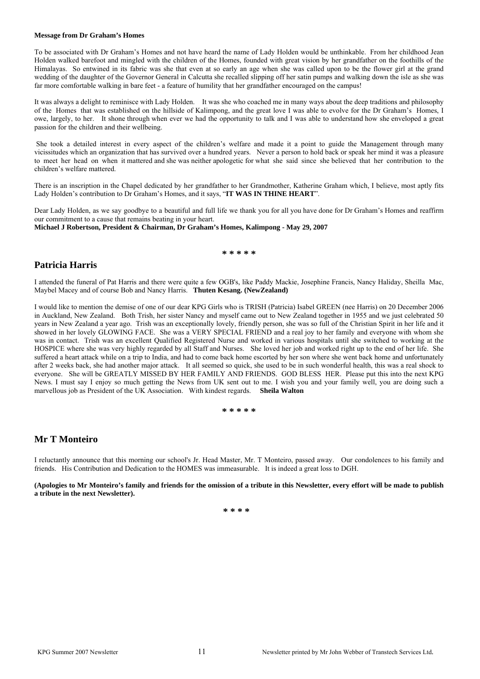#### **Message from Dr Graham's Homes**

To be associated with Dr Graham's Homes and not have heard the name of Lady Holden would be unthinkable. From her childhood Jean Holden walked barefoot and mingled with the children of the Homes, founded with great vision by her grandfather on the foothills of the Himalayas. So entwined in its fabric was she that even at so early an age when she was called upon to be the flower girl at the grand wedding of the daughter of the Governor General in Calcutta she recalled slipping off her satin pumps and walking down the isle as she was far more comfortable walking in bare feet - a feature of humility that her grandfather encouraged on the campus!

It was always a delight to reminisce with Lady Holden. It was she who coached me in many ways about the deep traditions and philosophy of the Homes that was established on the hillside of Kalimpong, and the great love I was able to evolve for the Dr Graham's Homes, I owe, largely, to her. It shone through when ever we had the opportunity to talk and I was able to understand how she enveloped a great passion for the children and their wellbeing.

She took a detailed interest in every aspect of the children's welfare and made it a point to guide the Management through many vicissitudes which an organization that has survived over a hundred years. Never a person to hold back or speak her mind it was a pleasure to meet her head on when it mattered and she was neither apologetic for what she said since she believed that her contribution to the children's welfare mattered.

There is an inscription in the Chapel dedicated by her grandfather to her Grandmother, Katherine Graham which, I believe, most aptly fits Lady Holden's contribution to Dr Graham's Homes, and it says, "**IT WAS IN THINE HEART**".

Dear Lady Holden, as we say goodbye to a beautiful and full life we thank you for all you have done for Dr Graham's Homes and reaffirm our commitment to a cause that remains beating in your heart.

**Michael J Robertson, President & Chairman, Dr Graham's Homes, Kalimpong - May 29, 2007** 

#### **\* \* \* \* \***

## **Patricia Harris**

I attended the funeral of Pat Harris and there were quite a few OGB's, like Paddy Mackie, Josephine Francis, Nancy Haliday, Sheilla Mac, Maybel Macey and of course Bob and Nancy Harris. **Thuten Kesang. (NewZealand)** 

I would like to mention the demise of one of our dear KPG Girls who is TRISH (Patricia) Isabel GREEN (nee Harris) on 20 December 2006 in Auckland, New Zealand. Both Trish, her sister Nancy and myself came out to New Zealand together in 1955 and we just celebrated 50 years in New Zealand a year ago. Trish was an exceptionally lovely, friendly person, she was so full of the Christian Spirit in her life and it showed in her lovely GLOWING FACE. She was a VERY SPECIAL FRIEND and a real joy to her family and everyone with whom she was in contact. Trish was an excellent Qualified Registered Nurse and worked in various hospitals until she switched to working at the HOSPICE where she was very highly regarded by all Staff and Nurses. She loved her job and worked right up to the end of her life. She suffered a heart attack while on a trip to India, and had to come back home escorted by her son where she went back home and unfortunately after 2 weeks back, she had another major attack. It all seemed so quick, she used to be in such wonderful health, this was a real shock to everyone. She will be GREATLY MISSED BY HER FAMILY AND FRIENDS. GOD BLESS HER. Please put this into the next KPG News. I must say I enjoy so much getting the News from UK sent out to me. I wish you and your family well, you are doing such a marvellous job as President of the UK Association. With kindest regards. **Sheila Walton**

**\* \* \* \* \*** 

# **Mr T Monteiro**

I reluctantly announce that this morning our school's Jr. Head Master, Mr. T Monteiro, passed away. Our condolences to his family and friends. His Contribution and Dedication to the HOMES was immeasurable. It is indeed a great loss to DGH.

**(Apologies to Mr Monteiro's family and friends for the omission of a tribute in this Newsletter, every effort will be made to publish a tribute in the next Newsletter).** 

**\* \* \* \***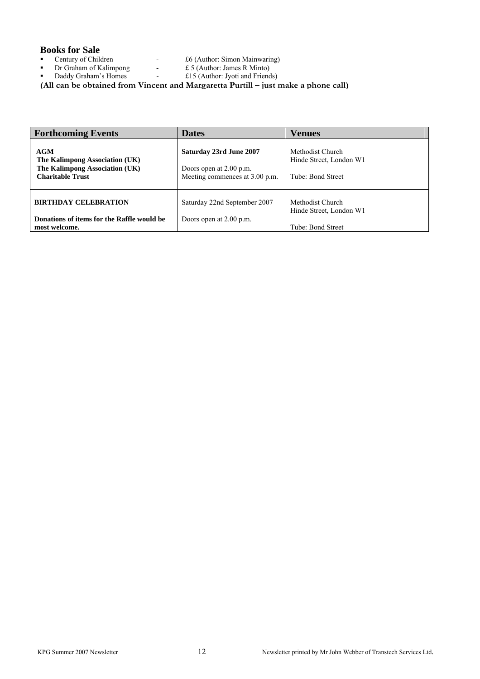# **Books for Sale**<br>**•** Century of Children

- 
- **Dr Graham of Kalimpong**  $\qquad$   $\qquad$   $\qquad$   $\qquad$   $\qquad$   $\qquad$   $\qquad$   $\qquad$   $\qquad$   $\qquad$   $\qquad$   $\qquad$   $\qquad$   $\qquad$   $\qquad$   $\qquad$   $\qquad$   $\qquad$   $\qquad$   $\qquad$   $\qquad$   $\qquad$   $\qquad$   $\qquad$   $\qquad$   $\qquad$   $\qquad$   $\qquad$   $\qquad$   $\qquad$   $\qquad$   $\qquad$   $\qquad$
- Daddy Graham's Homes £15 (Author: Jyoti and Friends)
- Century of Children £6 (Author: Simon Mainwaring)
	-

**\*\*\*\*\* (All can be obtained from Vincent and Margaretta Purtill – just make a phone call)**

| <b>Forthcoming Events</b>                                                                          | <b>Dates</b>                                                                         | Venues                                                           |
|----------------------------------------------------------------------------------------------------|--------------------------------------------------------------------------------------|------------------------------------------------------------------|
| AGM<br>The Kalimpong Association (UK)<br>The Kalimpong Association (UK)<br><b>Charitable Trust</b> | Saturday 23rd June 2007<br>Doors open at 2.00 p.m.<br>Meeting commences at 3.00 p.m. | Methodist Church<br>Hinde Street, London W1<br>Tube: Bond Street |
| <b>BIRTHDAY CELEBRATION</b><br>Donations of items for the Raffle would be                          | Saturday 22nd September 2007<br>Doors open at 2.00 p.m.                              | Methodist Church<br>Hinde Street, London W1                      |
| most welcome.                                                                                      |                                                                                      | Tube: Bond Street                                                |